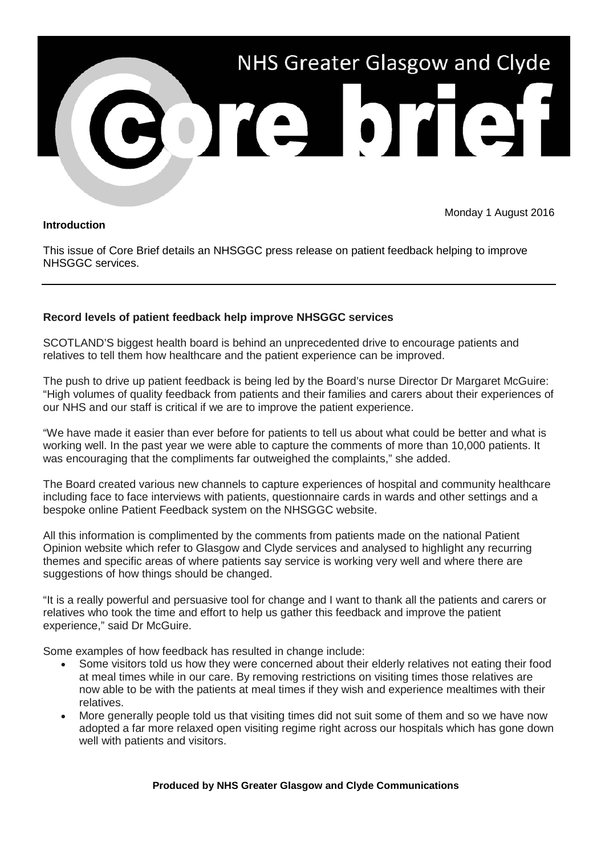

## **Introduction**

Monday 1 August 2016

This issue of Core Brief details an NHSGGC press release on patient feedback helping to improve NHSGGC services.

## **Record levels of patient feedback help improve NHSGGC services**

SCOTLAND'S biggest health board is behind an unprecedented drive to encourage patients and relatives to tell them how healthcare and the patient experience can be improved.

The push to drive up patient feedback is being led by the Board's nurse Director Dr Margaret McGuire: "High volumes of quality feedback from patients and their families and carers about their experiences of our NHS and our staff is critical if we are to improve the patient experience.

"We have made it easier than ever before for patients to tell us about what could be better and what is working well. In the past year we were able to capture the comments of more than 10,000 patients. It was encouraging that the compliments far outweighed the complaints," she added.

The Board created various new channels to capture experiences of hospital and community healthcare including face to face interviews with patients, questionnaire cards in wards and other settings and a bespoke online Patient Feedback system on the NHSGGC website.

All this information is complimented by the comments from patients made on the national Patient Opinion website which refer to Glasgow and Clyde services and analysed to highlight any recurring themes and specific areas of where patients say service is working very well and where there are suggestions of how things should be changed.

"It is a really powerful and persuasive tool for change and I want to thank all the patients and carers or relatives who took the time and effort to help us gather this feedback and improve the patient experience," said Dr McGuire.

Some examples of how feedback has resulted in change include:

- Some visitors told us how they were concerned about their elderly relatives not eating their food at meal times while in our care. By removing restrictions on visiting times those relatives are now able to be with the patients at meal times if they wish and experience mealtimes with their relatives.
- More generally people told us that visiting times did not suit some of them and so we have now adopted a far more relaxed open visiting regime right across our hospitals which has gone down well with patients and visitors.

## **Produced by NHS Greater Glasgow and Clyde Communications**